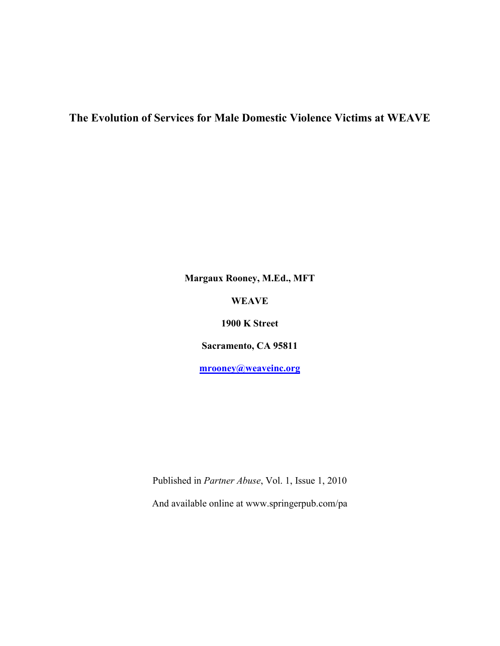## **The Evolution of Services for Male Domestic Violence Victims at WEAVE**

**Margaux Rooney, M.Ed., MFT** 

**WEAVE** 

**1900 K Street** 

**Sacramento, CA 95811** 

**mrooney@weaveinc.org**

Published in *Partner Abuse*, Vol. 1, Issue 1, 2010

And available online at www.springerpub.com/pa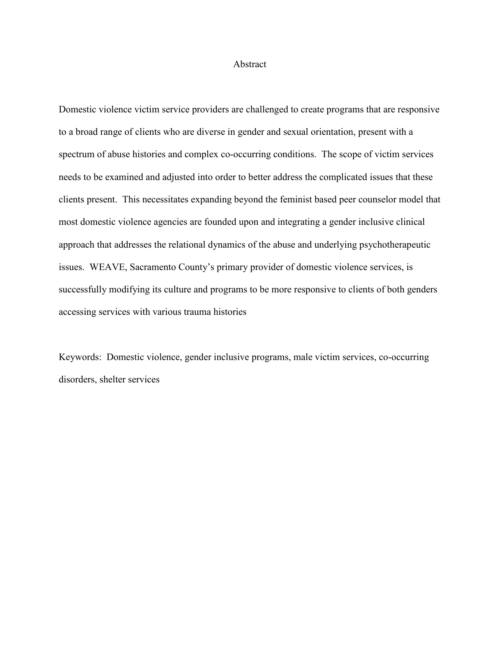## Abstract

Domestic violence victim service providers are challenged to create programs that are responsive to a broad range of clients who are diverse in gender and sexual orientation, present with a spectrum of abuse histories and complex co-occurring conditions. The scope of victim services needs to be examined and adjusted into order to better address the complicated issues that these clients present. This necessitates expanding beyond the feminist based peer counselor model that most domestic violence agencies are founded upon and integrating a gender inclusive clinical approach that addresses the relational dynamics of the abuse and underlying psychotherapeutic issues. WEAVE, Sacramento County's primary provider of domestic violence services, is successfully modifying its culture and programs to be more responsive to clients of both genders accessing services with various trauma histories

Keywords: Domestic violence, gender inclusive programs, male victim services, co-occurring disorders, shelter services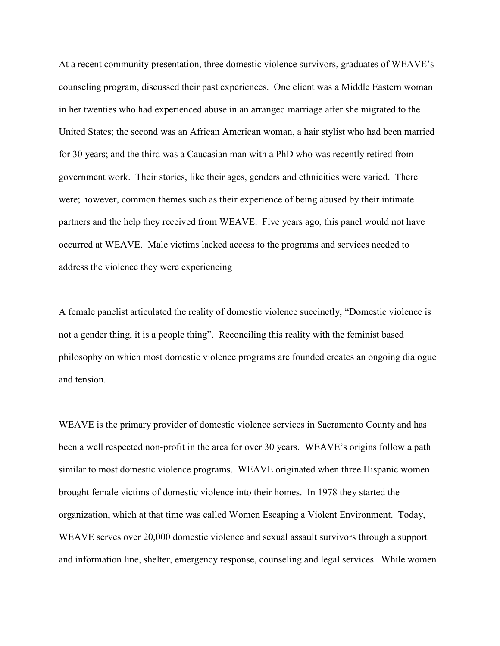At a recent community presentation, three domestic violence survivors, graduates of WEAVE's counseling program, discussed their past experiences. One client was a Middle Eastern woman in her twenties who had experienced abuse in an arranged marriage after she migrated to the United States; the second was an African American woman, a hair stylist who had been married for 30 years; and the third was a Caucasian man with a PhD who was recently retired from government work. Their stories, like their ages, genders and ethnicities were varied. There were; however, common themes such as their experience of being abused by their intimate partners and the help they received from WEAVE. Five years ago, this panel would not have occurred at WEAVE. Male victims lacked access to the programs and services needed to address the violence they were experiencing

A female panelist articulated the reality of domestic violence succinctly, "Domestic violence is not a gender thing, it is a people thing". Reconciling this reality with the feminist based philosophy on which most domestic violence programs are founded creates an ongoing dialogue and tension.

WEAVE is the primary provider of domestic violence services in Sacramento County and has been a well respected non-profit in the area for over 30 years. WEAVE's origins follow a path similar to most domestic violence programs. WEAVE originated when three Hispanic women brought female victims of domestic violence into their homes. In 1978 they started the organization, which at that time was called Women Escaping a Violent Environment. Today, WEAVE serves over 20,000 domestic violence and sexual assault survivors through a support and information line, shelter, emergency response, counseling and legal services. While women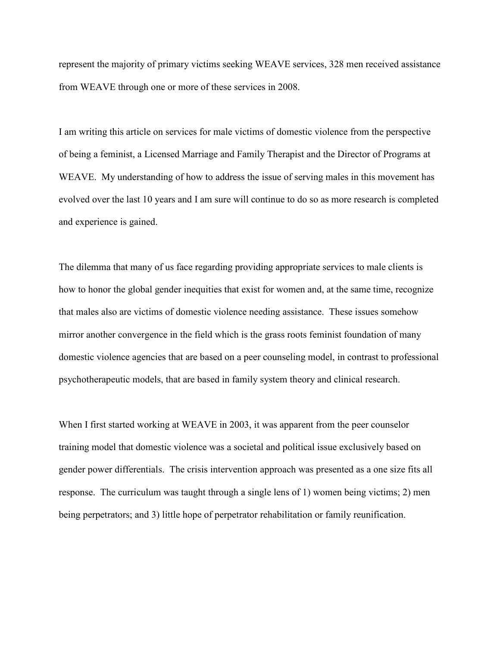represent the majority of primary victims seeking WEAVE services, 328 men received assistance from WEAVE through one or more of these services in 2008.

I am writing this article on services for male victims of domestic violence from the perspective of being a feminist, a Licensed Marriage and Family Therapist and the Director of Programs at WEAVE. My understanding of how to address the issue of serving males in this movement has evolved over the last 10 years and I am sure will continue to do so as more research is completed and experience is gained.

The dilemma that many of us face regarding providing appropriate services to male clients is how to honor the global gender inequities that exist for women and, at the same time, recognize that males also are victims of domestic violence needing assistance. These issues somehow mirror another convergence in the field which is the grass roots feminist foundation of many domestic violence agencies that are based on a peer counseling model, in contrast to professional psychotherapeutic models, that are based in family system theory and clinical research.

When I first started working at WEAVE in 2003, it was apparent from the peer counselor training model that domestic violence was a societal and political issue exclusively based on gender power differentials. The crisis intervention approach was presented as a one size fits all response. The curriculum was taught through a single lens of 1) women being victims; 2) men being perpetrators; and 3) little hope of perpetrator rehabilitation or family reunification.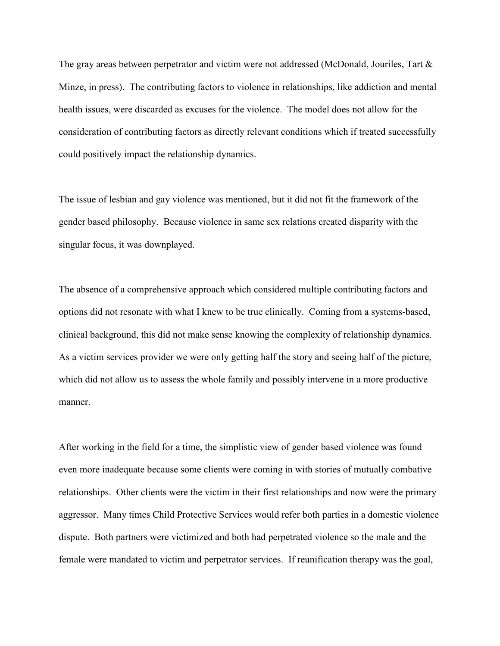The gray areas between perpetrator and victim were not addressed (McDonald, Jouriles, Tart & Minze, in press). The contributing factors to violence in relationships, like addiction and mental health issues, were discarded as excuses for the violence. The model does not allow for the consideration of contributing factors as directly relevant conditions which if treated successfully could positively impact the relationship dynamics.

The issue of lesbian and gay violence was mentioned, but it did not fit the framework of the gender based philosophy. Because violence in same sex relations created disparity with the singular focus, it was downplayed.

The absence of a comprehensive approach which considered multiple contributing factors and options did not resonate with what I knew to be true clinically. Coming from a systems-based, clinical background, this did not make sense knowing the complexity of relationship dynamics. As a victim services provider we were only getting half the story and seeing half of the picture, which did not allow us to assess the whole family and possibly intervene in a more productive manner.

After working in the field for a time, the simplistic view of gender based violence was found even more inadequate because some clients were coming in with stories of mutually combative relationships. Other clients were the victim in their first relationships and now were the primary aggressor. Many times Child Protective Services would refer both parties in a domestic violence dispute. Both partners were victimized and both had perpetrated violence so the male and the female were mandated to victim and perpetrator services. If reunification therapy was the goal,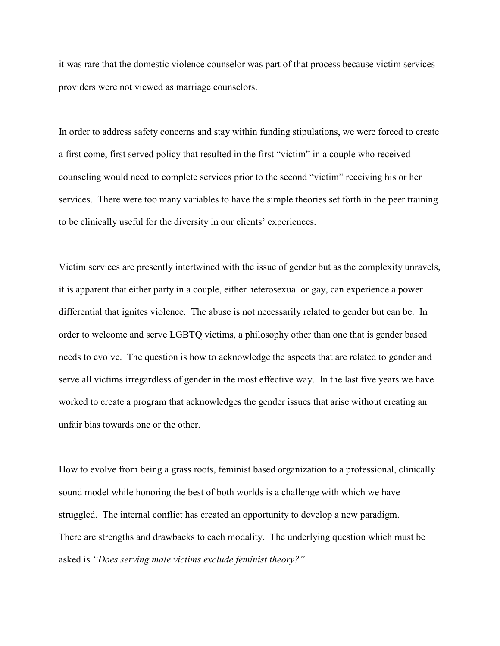it was rare that the domestic violence counselor was part of that process because victim services providers were not viewed as marriage counselors.

In order to address safety concerns and stay within funding stipulations, we were forced to create a first come, first served policy that resulted in the first "victim" in a couple who received counseling would need to complete services prior to the second "victim" receiving his or her services. There were too many variables to have the simple theories set forth in the peer training to be clinically useful for the diversity in our clients' experiences.

Victim services are presently intertwined with the issue of gender but as the complexity unravels, it is apparent that either party in a couple, either heterosexual or gay, can experience a power differential that ignites violence. The abuse is not necessarily related to gender but can be. In order to welcome and serve LGBTQ victims, a philosophy other than one that is gender based needs to evolve. The question is how to acknowledge the aspects that are related to gender and serve all victims irregardless of gender in the most effective way. In the last five years we have worked to create a program that acknowledges the gender issues that arise without creating an unfair bias towards one or the other.

How to evolve from being a grass roots, feminist based organization to a professional, clinically sound model while honoring the best of both worlds is a challenge with which we have struggled. The internal conflict has created an opportunity to develop a new paradigm. There are strengths and drawbacks to each modality. The underlying question which must be asked is *"Does serving male victims exclude feminist theory?"*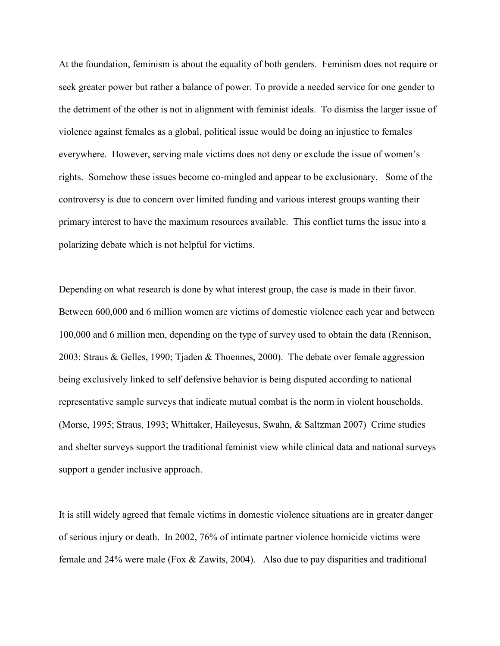At the foundation, feminism is about the equality of both genders. Feminism does not require or seek greater power but rather a balance of power. To provide a needed service for one gender to the detriment of the other is not in alignment with feminist ideals. To dismiss the larger issue of violence against females as a global, political issue would be doing an injustice to females everywhere. However, serving male victims does not deny or exclude the issue of women's rights. Somehow these issues become co-mingled and appear to be exclusionary. Some of the controversy is due to concern over limited funding and various interest groups wanting their primary interest to have the maximum resources available. This conflict turns the issue into a polarizing debate which is not helpful for victims.

Depending on what research is done by what interest group, the case is made in their favor. Between 600,000 and 6 million women are victims of domestic violence each year and between 100,000 and 6 million men, depending on the type of survey used to obtain the data (Rennison, 2003: Straus & Gelles, 1990; Tjaden & Thoennes, 2000). The debate over female aggression being exclusively linked to self defensive behavior is being disputed according to national representative sample surveys that indicate mutual combat is the norm in violent households. (Morse, 1995; Straus, 1993; Whittaker, Haileyesus, Swahn, & Saltzman 2007) Crime studies and shelter surveys support the traditional feminist view while clinical data and national surveys support a gender inclusive approach.

It is still widely agreed that female victims in domestic violence situations are in greater danger of serious injury or death. In 2002, 76% of intimate partner violence homicide victims were female and 24% were male (Fox & Zawits, 2004). Also due to pay disparities and traditional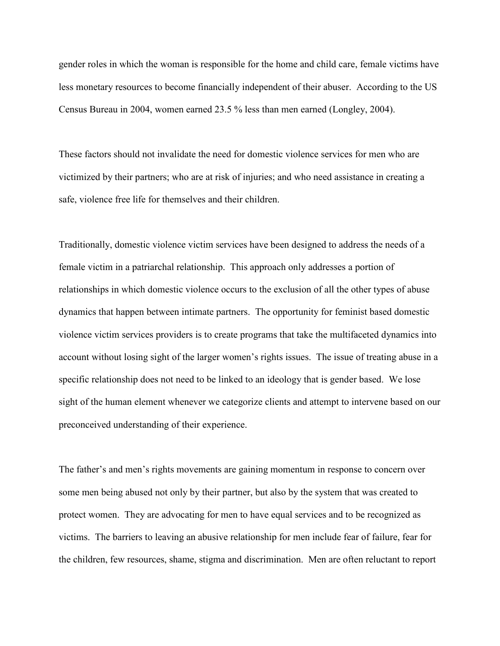gender roles in which the woman is responsible for the home and child care, female victims have less monetary resources to become financially independent of their abuser. According to the US Census Bureau in 2004, women earned 23.5 % less than men earned (Longley, 2004).

These factors should not invalidate the need for domestic violence services for men who are victimized by their partners; who are at risk of injuries; and who need assistance in creating a safe, violence free life for themselves and their children.

Traditionally, domestic violence victim services have been designed to address the needs of a female victim in a patriarchal relationship. This approach only addresses a portion of relationships in which domestic violence occurs to the exclusion of all the other types of abuse dynamics that happen between intimate partners. The opportunity for feminist based domestic violence victim services providers is to create programs that take the multifaceted dynamics into account without losing sight of the larger women's rights issues. The issue of treating abuse in a specific relationship does not need to be linked to an ideology that is gender based. We lose sight of the human element whenever we categorize clients and attempt to intervene based on our preconceived understanding of their experience.

The father's and men's rights movements are gaining momentum in response to concern over some men being abused not only by their partner, but also by the system that was created to protect women. They are advocating for men to have equal services and to be recognized as victims. The barriers to leaving an abusive relationship for men include fear of failure, fear for the children, few resources, shame, stigma and discrimination. Men are often reluctant to report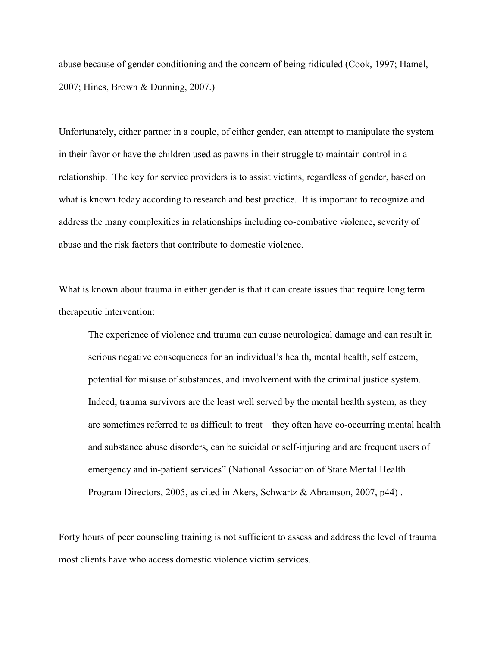abuse because of gender conditioning and the concern of being ridiculed (Cook, 1997; Hamel, 2007; Hines, Brown & Dunning, 2007.)

Unfortunately, either partner in a couple, of either gender, can attempt to manipulate the system in their favor or have the children used as pawns in their struggle to maintain control in a relationship. The key for service providers is to assist victims, regardless of gender, based on what is known today according to research and best practice. It is important to recognize and address the many complexities in relationships including co-combative violence, severity of abuse and the risk factors that contribute to domestic violence.

What is known about trauma in either gender is that it can create issues that require long term therapeutic intervention:

 The experience of violence and trauma can cause neurological damage and can result in serious negative consequences for an individual's health, mental health, self esteem, potential for misuse of substances, and involvement with the criminal justice system. Indeed, trauma survivors are the least well served by the mental health system, as they are sometimes referred to as difficult to treat – they often have co-occurring mental health and substance abuse disorders, can be suicidal or self-injuring and are frequent users of emergency and in-patient services" (National Association of State Mental Health Program Directors, 2005, as cited in Akers, Schwartz & Abramson, 2007, p44) .

Forty hours of peer counseling training is not sufficient to assess and address the level of trauma most clients have who access domestic violence victim services.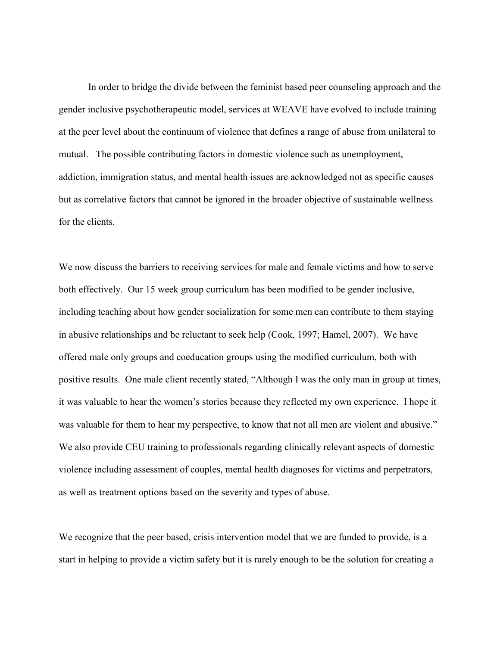In order to bridge the divide between the feminist based peer counseling approach and the gender inclusive psychotherapeutic model, services at WEAVE have evolved to include training at the peer level about the continuum of violence that defines a range of abuse from unilateral to mutual. The possible contributing factors in domestic violence such as unemployment, addiction, immigration status, and mental health issues are acknowledged not as specific causes but as correlative factors that cannot be ignored in the broader objective of sustainable wellness for the clients.

We now discuss the barriers to receiving services for male and female victims and how to serve both effectively. Our 15 week group curriculum has been modified to be gender inclusive, including teaching about how gender socialization for some men can contribute to them staying in abusive relationships and be reluctant to seek help (Cook, 1997; Hamel, 2007). We have offered male only groups and coeducation groups using the modified curriculum, both with positive results. One male client recently stated, "Although I was the only man in group at times, it was valuable to hear the women's stories because they reflected my own experience. I hope it was valuable for them to hear my perspective, to know that not all men are violent and abusive." We also provide CEU training to professionals regarding clinically relevant aspects of domestic violence including assessment of couples, mental health diagnoses for victims and perpetrators, as well as treatment options based on the severity and types of abuse.

We recognize that the peer based, crisis intervention model that we are funded to provide, is a start in helping to provide a victim safety but it is rarely enough to be the solution for creating a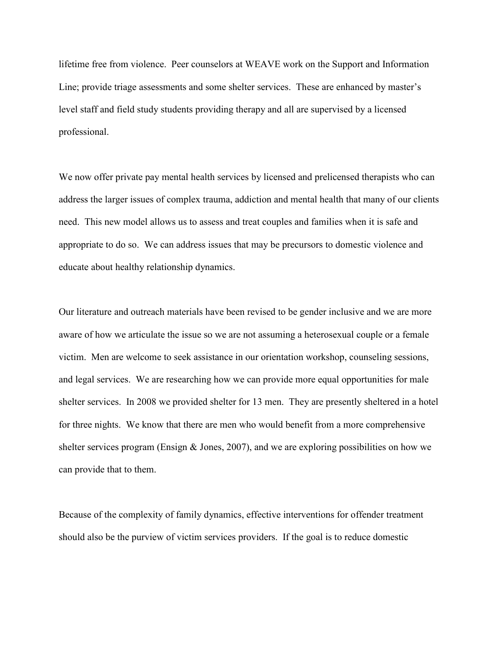lifetime free from violence. Peer counselors at WEAVE work on the Support and Information Line; provide triage assessments and some shelter services. These are enhanced by master's level staff and field study students providing therapy and all are supervised by a licensed professional.

We now offer private pay mental health services by licensed and prelicensed therapists who can address the larger issues of complex trauma, addiction and mental health that many of our clients need. This new model allows us to assess and treat couples and families when it is safe and appropriate to do so. We can address issues that may be precursors to domestic violence and educate about healthy relationship dynamics.

Our literature and outreach materials have been revised to be gender inclusive and we are more aware of how we articulate the issue so we are not assuming a heterosexual couple or a female victim. Men are welcome to seek assistance in our orientation workshop, counseling sessions, and legal services. We are researching how we can provide more equal opportunities for male shelter services. In 2008 we provided shelter for 13 men. They are presently sheltered in a hotel for three nights. We know that there are men who would benefit from a more comprehensive shelter services program (Ensign  $&$  Jones, 2007), and we are exploring possibilities on how we can provide that to them.

Because of the complexity of family dynamics, effective interventions for offender treatment should also be the purview of victim services providers. If the goal is to reduce domestic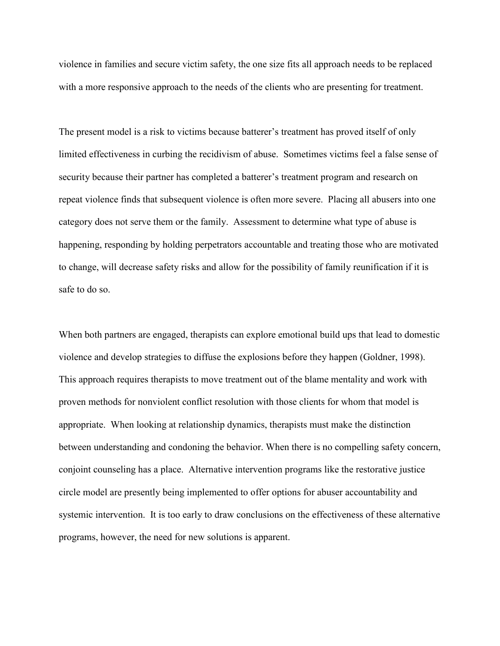violence in families and secure victim safety, the one size fits all approach needs to be replaced with a more responsive approach to the needs of the clients who are presenting for treatment.

The present model is a risk to victims because batterer's treatment has proved itself of only limited effectiveness in curbing the recidivism of abuse. Sometimes victims feel a false sense of security because their partner has completed a batterer's treatment program and research on repeat violence finds that subsequent violence is often more severe. Placing all abusers into one category does not serve them or the family. Assessment to determine what type of abuse is happening, responding by holding perpetrators accountable and treating those who are motivated to change, will decrease safety risks and allow for the possibility of family reunification if it is safe to do so.

When both partners are engaged, therapists can explore emotional build ups that lead to domestic violence and develop strategies to diffuse the explosions before they happen (Goldner, 1998). This approach requires therapists to move treatment out of the blame mentality and work with proven methods for nonviolent conflict resolution with those clients for whom that model is appropriate. When looking at relationship dynamics, therapists must make the distinction between understanding and condoning the behavior. When there is no compelling safety concern, conjoint counseling has a place. Alternative intervention programs like the restorative justice circle model are presently being implemented to offer options for abuser accountability and systemic intervention. It is too early to draw conclusions on the effectiveness of these alternative programs, however, the need for new solutions is apparent.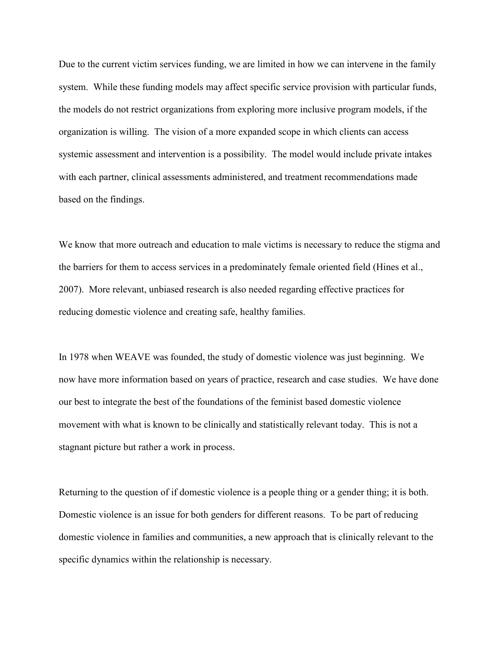Due to the current victim services funding, we are limited in how we can intervene in the family system. While these funding models may affect specific service provision with particular funds, the models do not restrict organizations from exploring more inclusive program models, if the organization is willing. The vision of a more expanded scope in which clients can access systemic assessment and intervention is a possibility. The model would include private intakes with each partner, clinical assessments administered, and treatment recommendations made based on the findings.

We know that more outreach and education to male victims is necessary to reduce the stigma and the barriers for them to access services in a predominately female oriented field (Hines et al., 2007). More relevant, unbiased research is also needed regarding effective practices for reducing domestic violence and creating safe, healthy families.

In 1978 when WEAVE was founded, the study of domestic violence was just beginning. We now have more information based on years of practice, research and case studies. We have done our best to integrate the best of the foundations of the feminist based domestic violence movement with what is known to be clinically and statistically relevant today. This is not a stagnant picture but rather a work in process.

Returning to the question of if domestic violence is a people thing or a gender thing; it is both. Domestic violence is an issue for both genders for different reasons. To be part of reducing domestic violence in families and communities, a new approach that is clinically relevant to the specific dynamics within the relationship is necessary.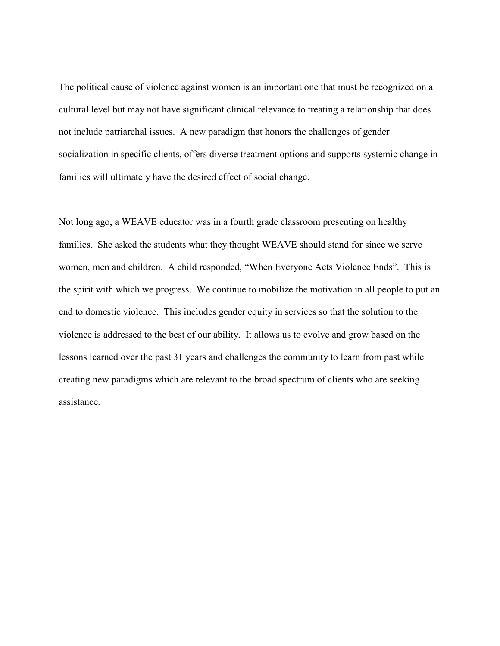The political cause of violence against women is an important one that must be recognized on a cultural level but may not have significant clinical relevance to treating a relationship that does not include patriarchal issues. A new paradigm that honors the challenges of gender socialization in specific clients, offers diverse treatment options and supports systemic change in families will ultimately have the desired effect of social change.

Not long ago, a WEAVE educator was in a fourth grade classroom presenting on healthy families. She asked the students what they thought WEAVE should stand for since we serve women, men and children. A child responded, "When Everyone Acts Violence Ends". This is the spirit with which we progress. We continue to mobilize the motivation in all people to put an end to domestic violence. This includes gender equity in services so that the solution to the violence is addressed to the best of our ability. It allows us to evolve and grow based on the lessons learned over the past 31 years and challenges the community to learn from past while creating new paradigms which are relevant to the broad spectrum of clients who are seeking assistance.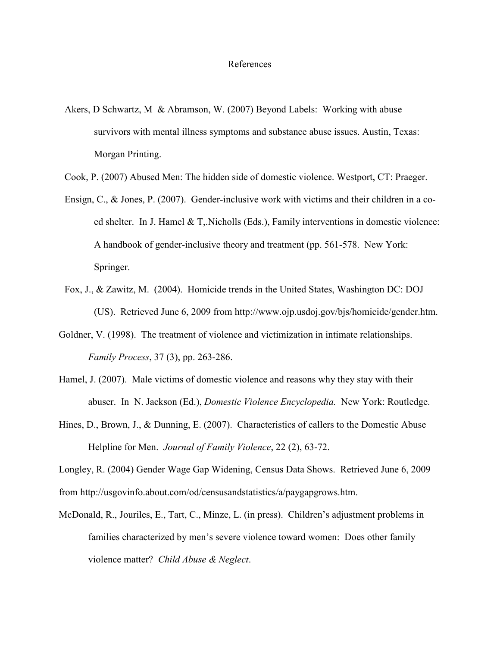## References

- Akers, D Schwartz, M & Abramson, W. (2007) Beyond Labels: Working with abuse survivors with mental illness symptoms and substance abuse issues. Austin, Texas: Morgan Printing.
- Cook, P. (2007) Abused Men: The hidden side of domestic violence. Westport, CT: Praeger.
- Ensign, C., & Jones, P. (2007). Gender-inclusive work with victims and their children in a coed shelter. In J. Hamel  $&$  T. Nicholls (Eds.), Family interventions in domestic violence: A handbook of gender-inclusive theory and treatment (pp. 561-578. New York: Springer.
- Fox, J., & Zawitz, M. (2004). Homicide trends in the United States, Washington DC: DOJ (US). Retrieved June 6, 2009 from http://www.ojp.usdoj.gov/bjs/homicide/gender.htm.
- Goldner, V. (1998). The treatment of violence and victimization in intimate relationships. *Family Process*, 37 (3), pp. 263-286.
- Hamel, J. (2007). Male victims of domestic violence and reasons why they stay with their abuser. In N. Jackson (Ed.), *Domestic Violence Encyclopedia.* New York: Routledge.
- Hines, D., Brown, J., & Dunning, E. (2007). Characteristics of callers to the Domestic Abuse Helpline for Men. *Journal of Family Violence*, 22 (2), 63-72.

Longley, R. (2004) Gender Wage Gap Widening, Census Data Shows. Retrieved June 6, 2009 from http://usgovinfo.about.com/od/censusandstatistics/a/paygapgrows.htm.

McDonald, R., Jouriles, E., Tart, C., Minze, L. (in press). Children's adjustment problems in families characterized by men's severe violence toward women: Does other family violence matter? *Child Abuse & Neglect*.